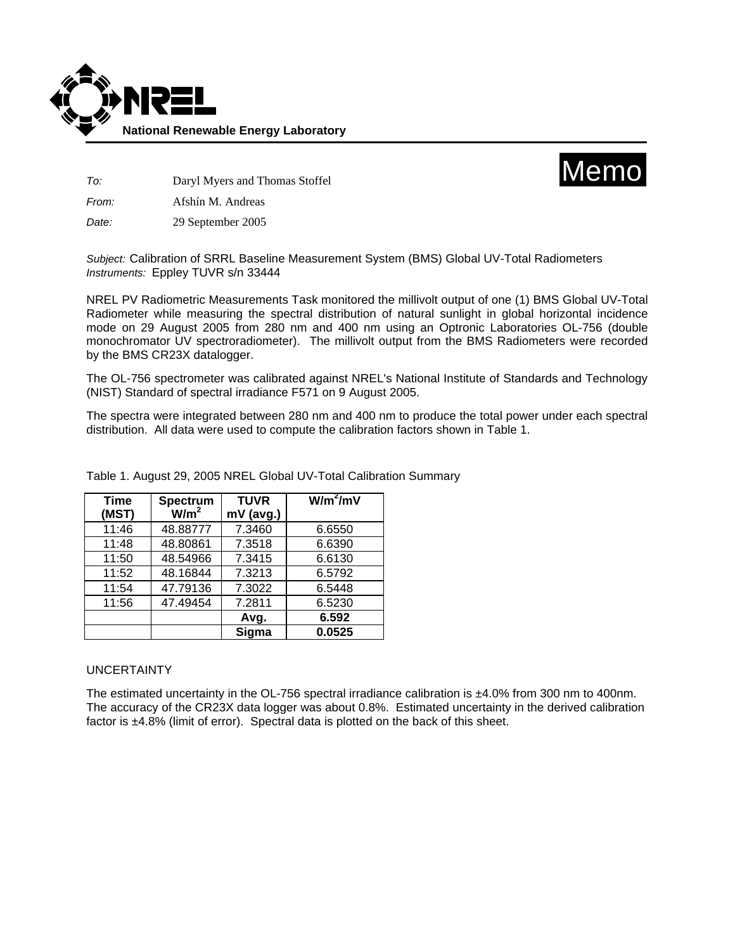



*To:* Daryl Myers and Thomas Stoffel

*From:* Afshín M. Andreas

*Date:* 29 September 2005

*Subject:* Calibration of SRRL Baseline Measurement System (BMS) Global UV-Total Radiometers *Instruments:* Eppley TUVR s/n 33444

NREL PV Radiometric Measurements Task monitored the millivolt output of one (1) BMS Global UV-Total Radiometer while measuring the spectral distribution of natural sunlight in global horizontal incidence mode on 29 August 2005 from 280 nm and 400 nm using an Optronic Laboratories OL-756 (double monochromator UV spectroradiometer). The millivolt output from the BMS Radiometers were recorded by the BMS CR23X datalogger.

The OL-756 spectrometer was calibrated against NREL's National Institute of Standards and Technology (NIST) Standard of spectral irradiance F571 on 9 August 2005.

The spectra were integrated between 280 nm and 400 nm to produce the total power under each spectral distribution. All data were used to compute the calibration factors shown in Table 1.

| <b>Time</b> | Spectrum         | <b>TUVR</b> | $W/m^2/mV$ |
|-------------|------------------|-------------|------------|
| (MST)       | W/m <sup>2</sup> | $mV$ (avg.) |            |
| 11:46       | 48.88777         | 7.3460      | 6.6550     |
| 11:48       | 48.80861         | 7.3518      | 6.6390     |
| 11:50       | 48.54966         | 7.3415      | 6.6130     |
| 11:52       | 48.16844         | 7.3213      | 6.5792     |
| 11:54       | 47.79136         | 7.3022      | 6.5448     |
| 11:56       | 47.49454         | 7.2811      | 6.5230     |
|             |                  | Avg.        | 6.592      |
|             |                  | Sigma       | 0.0525     |

Table 1. August 29, 2005 NREL Global UV-Total Calibration Summary

## UNCERTAINTY

The estimated uncertainty in the OL-756 spectral irradiance calibration is ±4.0% from 300 nm to 400nm. The accuracy of the CR23X data logger was about 0.8%. Estimated uncertainty in the derived calibration factor is ±4.8% (limit of error). Spectral data is plotted on the back of this sheet.